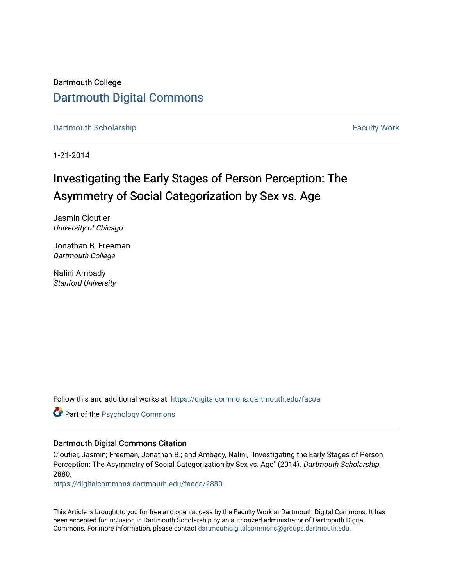Dartmouth College [Dartmouth Digital Commons](https://digitalcommons.dartmouth.edu/) 

[Dartmouth Scholarship](https://digitalcommons.dartmouth.edu/facoa) Faculty Work

1-21-2014

# Investigating the Early Stages of Person Perception: The Asymmetry of Social Categorization by Sex vs. Age

Jasmin Cloutier University of Chicago

Jonathan B. Freeman Dartmouth College

Nalini Ambady Stanford University

Follow this and additional works at: [https://digitalcommons.dartmouth.edu/facoa](https://digitalcommons.dartmouth.edu/facoa?utm_source=digitalcommons.dartmouth.edu%2Ffacoa%2F2880&utm_medium=PDF&utm_campaign=PDFCoverPages)

**Part of the Psychology Commons** 

## Dartmouth Digital Commons Citation

Cloutier, Jasmin; Freeman, Jonathan B.; and Ambady, Nalini, "Investigating the Early Stages of Person Perception: The Asymmetry of Social Categorization by Sex vs. Age" (2014). Dartmouth Scholarship. 2880.

[https://digitalcommons.dartmouth.edu/facoa/2880](https://digitalcommons.dartmouth.edu/facoa/2880?utm_source=digitalcommons.dartmouth.edu%2Ffacoa%2F2880&utm_medium=PDF&utm_campaign=PDFCoverPages) 

This Article is brought to you for free and open access by the Faculty Work at Dartmouth Digital Commons. It has been accepted for inclusion in Dartmouth Scholarship by an authorized administrator of Dartmouth Digital Commons. For more information, please contact [dartmouthdigitalcommons@groups.dartmouth.edu](mailto:dartmouthdigitalcommons@groups.dartmouth.edu).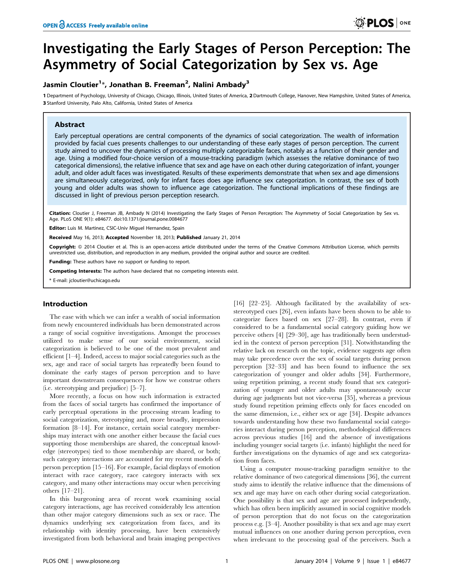# Investigating the Early Stages of Person Perception: The Asymmetry of Social Categorization by Sex vs. Age

## Jasmin Cloutier<sup>1</sup>\*, Jonathan B. Freeman<sup>2</sup>, Nalini Ambady<sup>3</sup>

1 Department of Psychology, University of Chicago, Chicago, Illinois, United States of America, 2 Dartmouth College, Hanover, New Hampshire, United States of America, 3 Stanford University, Palo Alto, California, United States of America

## Abstract

Early perceptual operations are central components of the dynamics of social categorization. The wealth of information provided by facial cues presents challenges to our understanding of these early stages of person perception. The current study aimed to uncover the dynamics of processing multiply categorizable faces, notably as a function of their gender and age. Using a modified four-choice version of a mouse-tracking paradigm (which assesses the relative dominance of two categorical dimensions), the relative influence that sex and age have on each other during categorization of infant, younger adult, and older adult faces was investigated. Results of these experiments demonstrate that when sex and age dimensions are simultaneously categorized, only for infant faces does age influence sex categorization. In contrast, the sex of both young and older adults was shown to influence age categorization. The functional implications of these findings are discussed in light of previous person perception research.

Citation: Cloutier J, Freeman JB, Ambady N (2014) Investigating the Early Stages of Person Perception: The Asymmetry of Social Categorization by Sex vs. Age. PLoS ONE 9(1): e84677. doi:10.1371/journal.pone.0084677

Editor: Luis M. Martinez, CSIC-Univ Miguel Hernandez, Spain

Received May 16, 2013; Accepted November 18, 2013; Published January 21, 2014

**Copyright:** © 2014 Cloutier et al. This is an open-access article distributed under the terms of the Creative Commons Attribution License, which permits unrestricted use, distribution, and reproduction in any medium, provided the original author and source are credited.

**Funding:** These authors have no support or funding to report.

Competing Interests: The authors have declared that no competing interests exist.

\* E-mail: jcloutier@uchicago.edu

## Introduction

The ease with which we can infer a wealth of social information from newly encountered individuals has been demonstrated across a range of social cognitive investigations. Amongst the processes utilized to make sense of our social environment, social categorization is believed to be one of the most prevalent and efficient [1–4]. Indeed, access to major social categories such as the sex, age and race of social targets has repeatedly been found to dominate the early stages of person perception and to have important downstream consequences for how we construe others (i.e. stereotyping and prejudice) [5–7].

More recently, a focus on how such information is extracted from the faces of social targets has confirmed the importance of early perceptual operations in the processing stream leading to social categorization, stereotyping and, more broadly, impression formation [8–14]. For instance, certain social category memberships may interact with one another either because the facial cues supporting those memberships are shared, the conceptual knowledge (stereotypes) tied to those membership are shared, or both; such category interactions are accounted for my recent models of person perception [15–16]. For example, facial displays of emotion interact with race category, race category interacts with sex category, and many other interactions may occur when perceiving others [17–21].

In this burgeoning area of recent work examining social category interactions, age has received considerably less attention than other major category dimensions such as sex or race. The dynamics underlying sex categorization from faces, and its relationship with identity processing, have been extensively investigated from both behavioral and brain imaging perspectives

[16] [22-25]. Although facilitated by the availability of sexstereotyped cues [26], even infants have been shown to be able to categorize faces based on sex [27–28]. In contrast, even if considered to be a fundamental social category guiding how we perceive others [4] [29–30], age has traditionally been understudied in the context of person perception [31]. Notwithstanding the relative lack on research on the topic, evidence suggests age often may take precedence over the sex of social targets during person perception [32–33] and has been found to influence the sex categorization of younger and older adults [34]. Furthermore, using repetition priming, a recent study found that sex categorization of younger and older adults may spontaneously occur during age judgments but not vice-versa [35], whereas a previous study found repetition priming effects only for faces encoded on the same dimension, i.e., either sex or age [34]. Despite advances towards understanding how these two fundamental social categories interact during person perception, methodological differences across previous studies [16] and the absence of investigations including younger social targets (i.e. infants) highlight the need for further investigations on the dynamics of age and sex categorization from faces.

Using a computer mouse-tracking paradigm sensitive to the relative dominance of two categorical dimensions [36], the current study aims to identify the relative influence that the dimensions of sex and age may have on each other during social categorization. One possibility is that sex and age are processed independently, which has often been implicitly assumed in social cognitive models of person perception that do not focus on the categorization process e.g. [3–4]. Another possibility is that sex and age may exert mutual influences on one another during person perception, even when irrelevant to the processing goal of the perceivers. Such a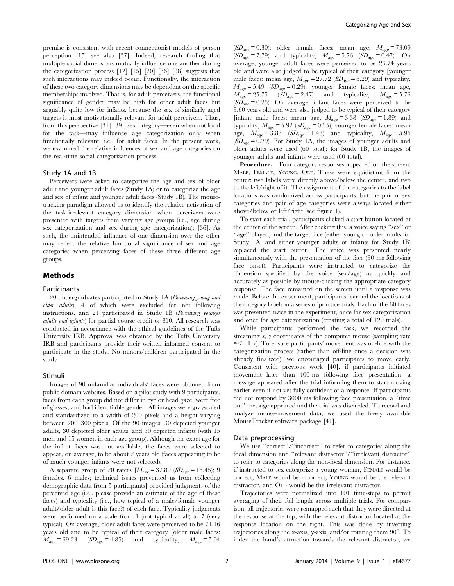premise is consistent with recent connectionist models of person perception [15] see also [37]. Indeed, research finding that multiple social dimensions mutually influence one another during the categorization process [12] [15] [20] [36] [38] suggests that such interactions may indeed occur. Functionally, the interaction of these two category dimensions may be dependent on the specific memberships involved. That is, for adult perceivers, the functional significance of gender may be high for other adult faces but arguably quite low for infants, because the sex of similarly aged targets is most motivationally relevant for adult perceivers. Thus, from this perspective [31] [39], sex category—even when not focal for the task—may influence age categorization only when functionally relevant, i.e., for adult faces. In the present work, we examined the relative influences of sex and age categories on the real-time social categorization process.

#### Study 1A and 1B

Perceivers were asked to categorize the age and sex of older adult and younger adult faces (Study 1A) or to categorize the age and sex of infant and younger adult faces (Study 1B). The mousetracking paradigm allowed us to identify the relative activation of the task-irrelevant category dimension when perceivers were presented with targets from varying age groups (i.e., age during sex categorization and sex during age categorization); [36]. As such, the unintended influence of one dimension over the other may reflect the relative functional significance of sex and age categories when perceiving faces of these three different age groups.

## Methods

#### **Participants**

20 undergraduates participated in Study 1A (Perceiving young and older adults), 4 of which were excluded for not following instructions, and 21 participated in Study 1B (Perceiving younger adults and infants) for partial course credit or \$10. All research was conducted in accordance with the ethical guidelines of the Tufts University IRB. Approval was obtained by the Tufts University IRB and participants provide their written informed consent to participate in the study. No minors/children participated in the study.

#### Stimuli

Images of 90 unfamiliar individuals' faces were obtained from public domain websites. Based on a pilot study with 9 participants, faces from each group did not differ in eye or head gaze, were free of glasses, and had identifiable gender. All images were grayscaled and standardized to a width of 200 pixels and a height varying between 200–300 pixels. Of the 90 images, 30 depicted younger adults, 30 depicted older adults, and 30 depicted infants (with 15 men and 15 women in each age group). Although the exact age for the infant faces was not available, the faces were selected to appear, on average, to be about 2 years old (faces appearing to be of much younger infants were not selected).

A separate group of 20 raters  $[M<sub>ave</sub> = 37.80 (SD<sub>ave</sub> = 16.45);$  9 females, 6 males; technical issues prevented us from collecting demographic data from 5 participants] provided judgments of the perceived age (i.e., please provide an estimate of the age of these faces) and typicality (i.e., how typical of a male/female younger adult/older adult is this face?) of each face. Typicality judgments were performed on a scale from 1 (not typical at all) to 7 (very typical). On average, older adult faces were perceived to be 71.16 years old and to be typical of their category [older male faces:  $M_{\text{age}} = 69.23$  ( $SD_{\text{age}} = 4.85$ ) and typicality,  $M_{\text{age}} = 5.94$ 

 $(SD_{\text{age}}= 0.30)$ ; older female faces: mean age,  $M_{\text{age}}= 73.09$  $(SD_{\text{age}} = 7.79)$  and typicality,  $M_{\text{age}} = 5.76$   $(SD_{\text{age}} = 0.47)$ . On average, younger adult faces were perceived to be 26.74 years old and were also judged to be typical of their category [younger male faces: mean age,  $M_{\text{age}} = 27.72 \ (SD_{\text{age}} = 6.29)$  and typicality,  $M_{\text{age}} = 5.49 \text{ (SD}_{\text{age}} = 0.29)$ ; younger female faces: mean age,  $M_{\text{age}} = 25.75$  ( $\overline{SD}_{\text{age}} = 2.47$ ) and typicality,  $M_{\text{age}} = 5.76$  $(SD<sub>age</sub> = 0.25)$ . On average, infant faces were perceived to be 3.60 years old and were also judged to be typical of their category [infant male faces: mean age,  $M_{\text{age}} = 3.38 \text{ (SD}_{\text{age}} = 1.89)$  and typicality,  $M_{\text{age}} = 5.92$  ( $SD_{\text{age}} = 0.35$ ); younger female faces: mean age,  $M_{\text{age}} = 3.83 \quad (\text{SD}_{\text{age}} = 1.48)$  and typicality,  $M_{\text{age}} = 5.96$  $(SD_{\text{age}} = 0.29)$ . For Study 1A, the images of younger adults and older adults were used (60 total); for Study 1B, the images of younger adults and infants were used (60 total).

Procedure. Four category responses appeared on the screen: MALE, FEMALE, YOUNG, OLD. These were equidistant from the center; two labels were directly above/below the center, and two to the left/right of it. The assignment of the categories to the label locations was randomized across participants, but the pair of sex categories and pair of age categories were always located either above/below or left/right (see figure 1).

To start each trial, participants clicked a start button located at the center of the screen. After clicking this, a voice saying ''sex'' or "age" played, and the target face (either young or older adults for Study 1A, and either younger adults or infants for Study 1B) replaced the start button. The voice was presented nearly simultaneously with the presentation of the face (30 ms following face onset). Participants were instructed to categorize the dimension specified by the voice (sex/age) as quickly and accurately as possible by mouse-clicking the appropriate category response. The face remained on the screen until a response was made. Before the experiment, participants learned the locations of the category labels in a series of practice trials. Each of the 60 faces was presented twice in the experiment, once for sex categorization and once for age categorization (creating a total of 120 trials).

While participants performed the task, we recorded the streaming  $x$ ,  $y$  coordinates of the computer mouse (sampling rate  $\approx$  70 Hz). To ensure participants' movement was on-line with the categorization process (rather than off-line once a decision was already finalized), we encouraged participants to move early. Consistent with previous work [40], if participants initiated movement later than 400 ms following face presentation, a message appeared after the trial informing them to start moving earlier even if not yet fully confident of a response. If participants did not respond by 3000 ms following face presentation, a ''time out'' message appeared and the trial was discarded. To record and analyze mouse-movement data, we used the freely available MouseTracker software package [41].

#### Data preprocessing

We use "correct"/"incorrect" to refer to categories along the focal dimension and ''relevant distractor''/''irrelevant distractor'' to refer to categories along the non-focal dimension. For instance, if instructed to sex-categorize a young woman, FEMALE would be correct, MALE would be incorrect, YOUNG would be the relevant distractor, and OLD would be the irrelevant distractor.

Trajectories were normalized into 101 time-steps to permit averaging of their full length across multiple trials. For comparison, all trajectories were remapped such that they were directed at the response at the top, with the relevant distractor located at the response location on the right. This was done by inverting trajectories along the x-axis, y-axis, and/or rotating them  $90^\circ$ . To index the hand's attraction towards the relevant distractor, we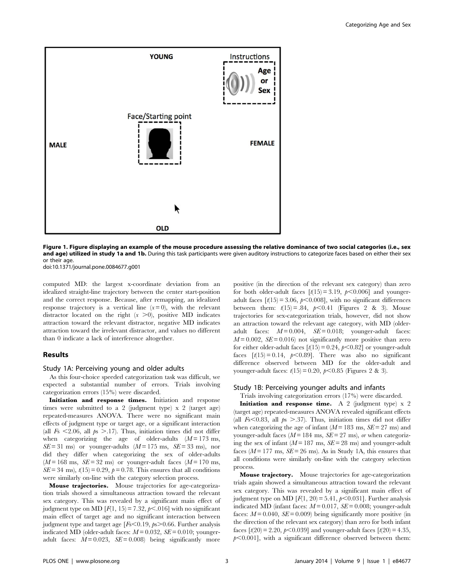

Figure 1. Figure displaying an example of the mouse procedure assessing the relative dominance of two social categories (i.e., sex and age) utilized in study 1a and 1b. During this task participants were given auditory instructions to categorize faces based on either their sex or their age.

doi:10.1371/journal.pone.0084677.g001

computed MD: the largest x-coordinate deviation from an idealized straight-line trajectory between the center start-position and the correct response. Because, after remapping, an idealized response trajectory is a vertical line  $(x=0)$ , with the relevant distractor located on the right  $(x > 0)$ , positive MD indicates attraction toward the relevant distractor, negative MD indicates attraction toward the irrelevant distractor, and values no different than 0 indicate a lack of interference altogether.

### Results

#### Study 1A: Perceiving young and older adults

As this four-choice speeded categorization task was difficult, we expected a substantial number of errors. Trials involving categorization errors (15%) were discarded.

Initiation and response times. Initiation and response times were submitted to a 2 (judgment type) x 2 (target age) repeated-measures ANOVA. There were no significant main effects of judgment type or target age, or a significant interaction (all  $F_s$  <2.06, all  $p_s$  >.17). Thus, initiation times did not differ when categorizing the age of older-adults  $(M = 173 \text{ ms})$ ,  $SE = 31$  ms) or younger-adults  $(M = 175$  ms,  $SE = 33$  ms), nor did they differ when categorizing the sex of older-adults  $(M = 168 \text{ ms}, \ \text{SE} = 32 \text{ ms})$  or younger-adult faces  $(M = 170 \text{ ms},$  $SE = 34$  ms),  $t(15) = 0.29$ ,  $p = 0.78$ . This ensures that all conditions were similarly on-line with the category selection process.

Mouse trajectories. Mouse trajectories for age-categorization trials showed a simultaneous attraction toward the relevant sex category. This was revealed by a significant main effect of judgment type on MD  $[F(1, 15) = 7.32, p<.016]$  with no significant main effect of target age and no significant interaction between judgment type and target age  $[Fs<0.19, ps>0.66$ . Further analysis indicated MD (older-adult faces:  $M = 0.032$ ,  $SE = 0.010$ ; youngeradult faces:  $M = 0.023$ ,  $SE = 0.008$ ) being significantly more

positive (in the direction of the relevant sex category) than zero for both older-adult faces  $\lceil t(15) = 3.19, p < 0.006 \rceil$  and youngeradult faces  $\lceil t(15) \rceil = 3.06$ ,  $p \le 0.008$ ], with no significant differences between them:  $t(15) = .84$ ,  $p < 0.41$  (Figures 2 & 3). Mouse trajectories for sex-categorization trials, however, did not show an attraction toward the relevant age category, with MD (olderadult faces:  $M = 0.004$ ,  $SE = 0.018$ ; younger-adult faces:  $M = 0.002$ ,  $SE = 0.016$ ) not significantly more positive than zero for either older-adult faces  $\lceil t(15) = 0.24, p < 0.82 \rceil$  or younger-adult faces  $\lceil t(15) = 0.14, p < 0.89$ . There was also no significant difference observed between MD for the older-adult and younger-adult faces:  $t(15) = 0.20$ ,  $p < 0.85$  (Figures 2 & 3).

#### Study 1B: Perceiving younger adults and infants

Trials involving categorization errors (17%) were discarded.

Initiation and response time. A 2 (judgment type)  $x$  2 (target age) repeated-measures ANOVA revealed significant effects (all  $F_s < 0.83$ , all  $p_s > .37$ ). Thus, initiation times did not differ when categorizing the age of infant  $(M = 183 \text{ ms}, SE = 27 \text{ ms})$  and younger-adult faces ( $M = 184$  ms,  $SE = 27$  ms), or when categorizing the sex of infant ( $M = 187$  ms,  $SE = 28$  ms) and younger-adult faces ( $M = 177$  ms,  $SE = 26$  ms). As in Study 1A, this ensures that all conditions were similarly on-line with the category selection process.

Mouse trajectory. Mouse trajectories for age-categorization trials again showed a simultaneous attraction toward the relevant sex category. This was revealed by a significant main effect of judgment type on MD  $[F(1, 20) = 5.41, p < 0.031]$ . Further analysis indicated MD (infant faces:  $M = 0.017$ ,  $SE = 0.008$ ; younger-adult faces:  $M = 0.040$ ,  $SE = 0.009$ ) being significantly more positive (in the direction of the relevant sex category) than zero for both infant faces  $[t(20) = 2.20, p<0.039]$  and younger-adult faces  $[t(20) = 4.35,$  $p<0.001$ ], with a significant difference observed between them: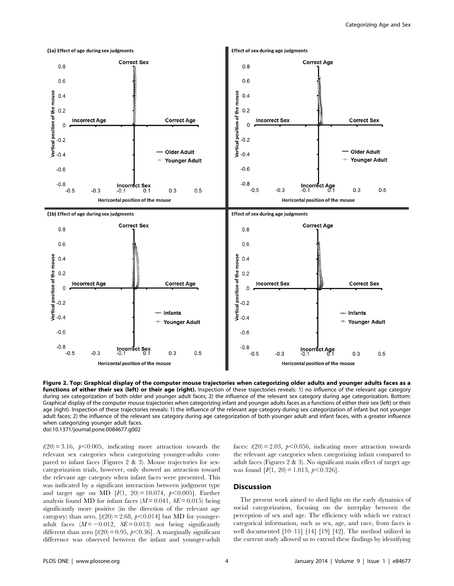

Figure 2. Top: Graphical display of the computer mouse trajectories when categorizing older adults and younger adults faces as a functions of either their sex (left) or their age (right). Inspection of these trajectories reveals: 1) no influence of the relevant age category during sex categorization of both older and younger adult faces; 2) the influence of the relevant sex category during age categorization. Bottom: Graphical display of the computer mouse trajectories when categorizing infant and younger adults faces as a functions of either their sex (left) or their age (right). Inspection of these trajectories reveals: 1) the influence of the relevant age category during sex categorization of infant but not younger adult faces; 2) the influence of the relevant sex category during age categorization of both younger adult and infant faces, with a greater influence when categorizing younger adult faces. doi:10.1371/journal.pone.0084677.g002

 $t(20) = 3.16$ ,  $p<0.005$ , indicating more attraction towards the relevant sex categories when categorizing younger-adults compared to infant faces (Figures 2 & 3). Mouse trajectories for sexcategorization trials, however, only showed an attraction toward the relevant age category when infant faces were presented. This was indicated by a significant interaction between judgment type and target age on MD [ $F(1, 20) = 10.074$ ,  $p < 0.005$ ]. Further analysis found MD for infant faces  $(M=0.041, SE=0.015)$  being significantly more positive (in the direction of the relevant age category) than zero,  $\lceil t(20) = 2.68, \, t \leq 0.014 \rceil$  but MD for youngeradult faces  $(M = -0.012, \text{ } SE = 0.013)$  not being significantly different than zero  $\lbrack t(20) = 0.95, p<0.36 \rbrack$ . A marginally significant difference was observed between the infant and younger-adult faces:  $t(20) = 2.03$ ,  $p<0.056$ , indicating more attraction towards the relevant age categories when categorizing infant compared to adult faces (Figures 2 & 3). No significant main effect of target age was found  $[F(1, 20) = 1.013, p < 0.326]$ .

## **Discussion**

The present work aimed to shed light on the early dynamics of social categorization, focusing on the interplay between the perception of sex and age. The efficiency with which we extract categorical information, such as sex, age, and race, from faces is well documented [10–11] [14] [19] [42]. The method utilized in the current study allowed us to extend these findings by identifying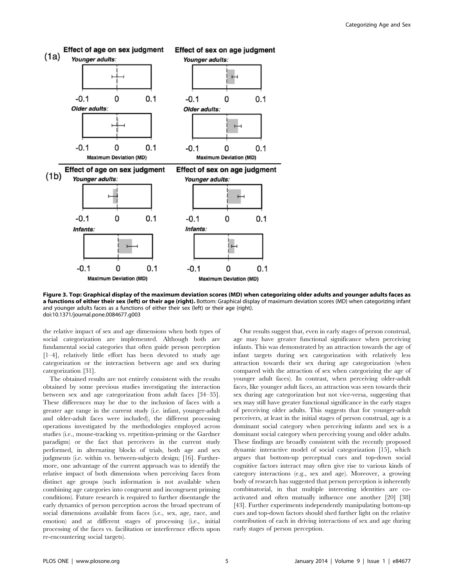

Figure 3. Top: Graphical display of the maximum deviation scores (MD) when categorizing older adults and younger adults faces as a functions of either their sex (left) or their age (right). Bottom: Graphical display of maximum deviation scores (MD) when categorizing infant and younger adults faces as a functions of either their sex (left) or their age (right). doi:10.1371/journal.pone.0084677.g003

the relative impact of sex and age dimensions when both types of social categorization are implemented. Although both are fundamental social categories that often guide person perception [1–4], relatively little effort has been devoted to study age categorization or the interaction between age and sex during categorization [31].

The obtained results are not entirely consistent with the results obtained by some previous studies investigating the interaction between sex and age categorization from adult faces [34–35]. These differences may be due to the inclusion of faces with a greater age range in the current study (i.e. infant, younger-adult and older-adult faces were included), the different processing operations investigated by the methodologies employed across studies (i.e., mouse-tracking vs. repetition-priming or the Gardner paradigm) or the fact that perceivers in the current study performed, in alternating blocks of trials, both age and sex judgments (i.e. within vs. between-subjects design; [16]. Furthermore, one advantage of the current approach was to identify the relative impact of both dimensions when perceiving faces from distinct age groups (such information is not available when combining age categories into congruent and incongruent priming conditions). Future research is required to further disentangle the early dynamics of person perception across the broad spectrum of social dimensions available from faces (i.e., sex, age, race, and emotion) and at different stages of processing (i.e., initial processing of the faces vs. facilitation or interference effects upon re-encountering social targets).

Our results suggest that, even in early stages of person construal, age may have greater functional significance when perceiving infants. This was demonstrated by an attraction towards the age of infant targets during sex categorization with relatively less attraction towards their sex during age categorization (when compared with the attraction of sex when categorizing the age of younger adult faces). In contrast, when perceiving older-adult faces, like younger adult faces, an attraction was seen towards their sex during age categorization but not vice-versa, suggesting that sex may still have greater functional significance in the early stages of perceiving older adults. This suggests that for younger-adult perceivers, at least in the initial stages of person construal, age is a dominant social category when perceiving infants and sex is a dominant social category when perceiving young and older adults. These findings are broadly consistent with the recently proposed dynamic interactive model of social categorization [15], which argues that bottom-up perceptual cues and top-down social cognitive factors interact may often give rise to various kinds of category interactions (e.g., sex and age). Moreover, a growing body of research has suggested that person perception is inherently combinatorial, in that multiple interesting identities are coactivated and often mutually influence one another [20] [38] [43]. Further experiments independently manipulating bottom-up cues and top-down factors should shed further light on the relative contribution of each in driving interactions of sex and age during early stages of person perception.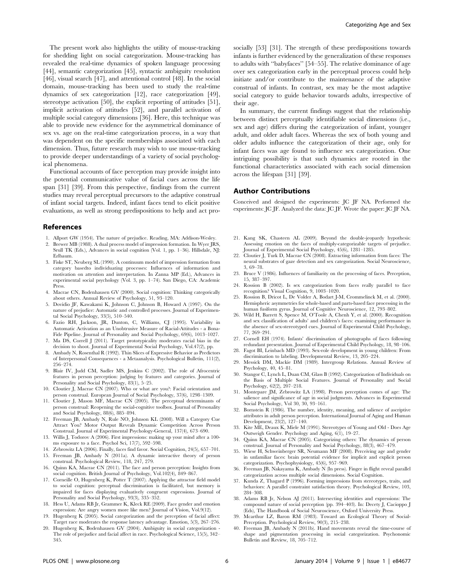The present work also highlights the utility of mouse-tracking for shedding light on social categorization. Mouse-tracking has revealed the real-time dynamics of spoken language processing [44], semantic categorization [45], syntactic ambiguity resolution [46], visual search [47], and attentional control [48]. In the social domain, mouse-tracking has been used to study the real-time dynamics of sex categorization [12], race categorization [49], stereotype activation [50], the explicit reporting of attitudes [51], implicit activation of attitudes [52], and parallel activation of multiple social category dimensions [36]. Here, this technique was able to provide new evidence for the asymmetrical dominance of sex vs. age on the real-time categorization process, in a way that was dependent on the specific memberships associated with each dimension. Thus, future research may wish to use mouse-tracking to provide deeper understandings of a variety of social psychological phenomena.

Functional accounts of face perception may provide insight into the potential communicative value of facial cues across the life span [31] [39]. From this perspective, findings from the current studies may reveal perceptual precursors to the adaptive construal of infant social targets. Indeed, infant faces tend to elicit positive evaluations, as well as strong predispositions to help and act pro-

### References

- 1. Allport GW (1954). The nature of prejudice. Reading, MA: Addison-Wesley. 2. Brewer MB (1988). A dual process model of impression formation. In Wyer JRS,
- Srull TK (Eds.), Advances in social cognition (Vol. 1, pp. 1–36). Hillsdale, NJ: Erlbaum.
- 3. Fiske ST, Neuberg SL (1990). A continuum model of impression formation from category basedto individuating processes: Influences of information and motivation on attention and interpretation. In Zanna MP (Ed.), Advances in experimental social psychology (Vol. 3, pp. 1–74). San Diego, CA: Academic Press.
- 4. Macrae CN, Bodenhausen GV (2000). Social cognition: Thinking categorically about others. Annual Review of Psychology, 51, 93–120.
- 5. Dovidio JF, Kawakami K, Johnson C, Johnson B, Howard A (1997). On the nature of prejudice: Automatic and controlled processes. Journal of Experimental Social Psychology, 33(5), 510–540.
- 6. Fazio RH, Jackson, JR, Dunton, C, Williams, CJ (1995). Variability in Automatic Activation as an Unobtrusive Measure of Racial-Attitudes - a Bona-Fide Pipeline. Journal of Personality and Social Psychology, 69(6), 1013–1027.
- 7. Ma DS, Correll J (2011). Target prototypicality moderates racial bias in the decision to shoot. Journal of Experimental Social Psychology, Vol.47(2), pp.
- 8. Ambady N, Rosenthal R (1992). Thin Slices of Expressive Behavior as Predictors of Interpersonal Consequences - a Metaanalysis. Psychological Bulletin, 111(2), 256–274.
- 9. Blair IV, Judd CM, Sadler MS, Jenkins C (2002). The role of Afrocentric features in person perception: judging by features and categories. Journal of Personality and Social Psychology, 83(1), 5–25.
- 10. Cloutier J, Macrae CN (2007). Who or what are you?: Facial orientation and person construal. European Journal of Social Psychology, 37(6), 1298–1309.
- 11. Cloutier J, Mason MF, Macrae CN (2005). The perceptual determinants of person construal: Reopening the social-cognitive toolbox. Journal of Personality and Social Psychology, 88(6), 885–894.
- 12. Freeman JB, Ambady N, Rule NO, Johnson KL (2008). Will a Category Cue Attract You? Motor Output Reveals Dynamic Competition Across Person Construal. Journal of Experimental Psychology-General, 137(4), 673–690.
- 13. Willis J, Todorov A (2006). First impressions: making up your mind after a 100 ms exposure to a face. Psychol Sci, 17(7), 592–598.
- 14. Zebrowitz LA (2006). Finally, faces find favor. Social Cognition, 24(5), 657–701. 15. Freeman JB, Ambady N (2011a). A dynamic interactive theory of person
- construal. Psychological Review, 118, 247, 279. 16. Quinn KA, Macrae CN (2011). The face and person perception: Insights from
- social cognition. British Journal of Psychology, Vol.102(4), 849–867. 17. Corneille O, Hugenberg K, Potter T (2007). Applying the attractor field model
- to social cognition: perceptual discrimination is facilitated, but memory is impaired for faces displaying evaluatively congruent expressions. Journal of Personality and Social Psychology, 93(3), 335–352.
- 18. Hess U, Adams RB Jr, Grammer K, Kleck RE (2009). Face gender and emotion expression: Are angry women more like men? Journal of Vision, Vol.9(12).
- 19. Hugenberg K (2005). Social categorization and the perception of facial affect: Target race moderates the response latency advantage. Emotion, 5(3), 267–276.
- 20. Hugenberg K, Bodenhausen GV (2004). Ambiguity in social categorization The role of prejudice and facial affect in race. Psychological Science, 15(5), 342– 345.

socially [53] [31]. The strength of these predispositions towards infants is further evidenced by the generalization of these responses to adults with ''babyfaces'' [54–55]. The relative dominance of age over sex categorization early in the perceptual process could help initiate and/or contribute to the maintenance of the adaptive construal of infants. In contrast, sex may be the most adaptive social category to guide behavior towards adults, irrespective of their age.

In summary, the current findings suggest that the relationship between distinct perceptually identifiable social dimensions (i.e., sex and age) differs during the categorization of infant, younger adult, and older adult faces. Whereas the sex of both young and older adults influence the categorization of their age, only for infant faces was age found to influence sex categorization. One intriguing possibility is that such dynamics are rooted in the functional characteristics associated with each social dimension across the lifespan [31] [39].

#### Author Contributions

Conceived and designed the experiments: JC JF NA. Performed the experiments: JC JF. Analyzed the data: JC JF. Wrote the paper: JC JF NA.

- 21. Kang SK, Chasteen AL (2009). Beyond the double-jeopardy hypothesis: Assessing emotion on the faces of multiply-categorizable targets of prejudice. Journal of Experimental Social Psychology, 45(6), 1281–1285.
- 22. Cloutier J, Turk D, Macrae CN (2008). Extracting information from faces: The neural substrates of gaze detection and sex categorization. Social Neuroscience, 3, 69–78.
- 23. Bruce V (1986). Influences of familiarity on the processing of faces. Perception, 15, 387–397.
- 24. Rossion B (2002). Is sex categorization from faces really parallel to face recognition? Visual Cognition, 9, 1003–1020.
- 25. Rossion B, Dricot L, De Volder A, Bodart J-M, Crommelinck M, et al. (2000). Hemispheric asymmetries for whole-based and parts-based face processing in the human fusiform gyrus. Journal of Cognitive Neuroscience, 12, 793–802.
- 26. Wild H, Barrett S, Spence M, O'Toole A, Chenh Y, et al. (2000). Recognition and sex classification of adults' and children's faces: examining performance in the absence of sex-stereotyped cues. Journal of Experimental Child Psychology, 77, 269–291.
- 27. Cornell EH (1974). Infants' discrimination of photographs of faces following redundant presentation. Journal of Experimental Child Psychology, 18, 98–106.
- 28. Fagot BI, Leinbach MD (1993). Sex-role development in young children: From discrimination to labeling. Developmental Review, 13, 205–224.
- 29. Messick DM, Mackie DM (1989). Intergroup Relations. Annual Review of Psychology, 40, 45–81.
- 30. Stangor C, Lynch L, Duan CM, Glass B (1992). Categorization of Individuals on the Basis of Multiple Social Features. Journal of Personality and Social Psychology, 62(2), 207–218.
- 31. Montepare JM, Zebrowitz LA (1998). Person perception comes of age: The salience and significance of age in social judgments. Advances in Experimental Social Psychology, Vol 30, 30, 93–161.
- 32. Bornstein R (1986). The number, identity, meaning, and salience of ascriptive attributes in adult person perception. International Journal of Aging and Human Development, 23(2), 127–140.
- 33. Kite ME, Deaux K, Miele M (1991). Stereotypes of Young and Old Does Age Outweigh Gender. Psychology and Aging, 6(1), 19–27.
- 34. Quinn KA, Macrae CN (2005). Categorizing others: The dynamics of person construal. Journal of Personality and Social Psychology, 88(3), 467–479.
- 35. Wiese H, Schweinberger SR, Neumann MF (2008). Perceiving age and gender in unfamiliar faces: brain potential evidence for implicit and explicit person categorization. Psychophysiology, 45(6), 957–969.
- 36. Freeman JB, Nakayama K, Ambady N (In press). Finger in flight reveal parallel categorization across multiple social dimensions. Social Cognition.
- 37. Kunda Z, Thagard P (1996). Forming impressions from stereotypes, traits, and behaviors: A parallel constraint satisfaction theory. Psychological Review, 103, 284–308.
- 38. Adams RB Jr, Nelson AJ (2011). Intersecting identities and expressions: The compound nature of social perception (pp. 394–403). In: Decety J, Cacioppo J (Eds), The Handbook of Social Neuroscience, Oxford University Press.
- 39. Mcarthur LZ, Baron RM (1983). Toward an Ecological Theory of Social-Perception. Psychological Review, 90(3), 215–238.
- 40. Freeman JB, Ambady N (2011b). Hand movements reveal the time-course of shape and pigmentation processing in social categorization. Psychonomic Bulletin and Review, 18, 705–712.